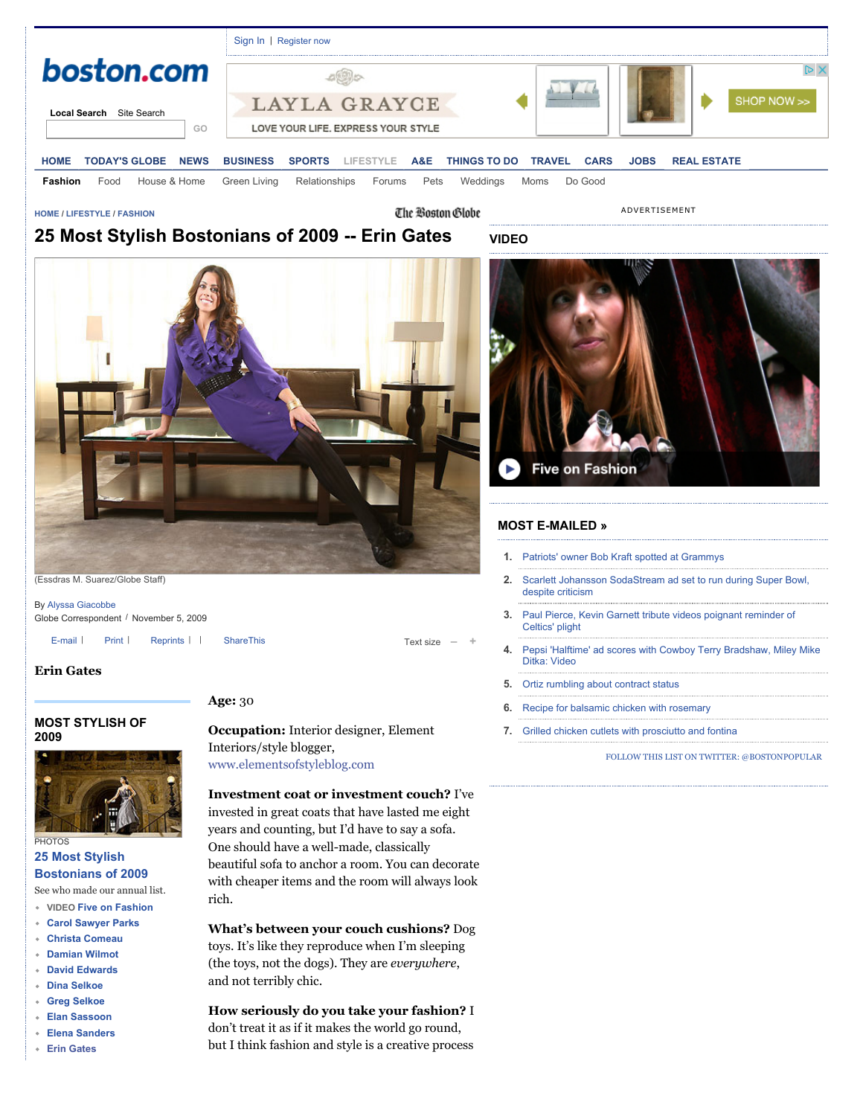

### **[HOME](http://www.boston.com/) / [LIFESTYLE](http://www.boston.com/lifestyle) / [FASHION](http://www.boston.com/lifestyle/fashion)**

The Boston Globe

**VIDEO**

ADVERTISEMENT

# **25 Most Stylish Bostonians of 2009 -- Erin Gates**



(Essdras M. Suarez/Globe Staff)

By [Alyssa Giacobbe](http://search.boston.com/local/Search.do?s.sm.query=Alyssa+Giacobbe&camp=localsearch:on:byline:art) Globe Correspondent / November 5, 2009

[E-mail](javascript:void(0)) | [Print](http://www.boston.com/lifestyle/fashion/articles/2009/11/05/25_most_stylish_bostonians_of_2009____erin_gates/#) | [Reprints](http://www.globereprints.com/) | | [ShareThis](javascript:void(0)) Text size **– +**

### **Erin Gates**

### **[MOST STYLISH OF](http://www.boston.com/lifestyle/fashion/specials/moststylish2009) 2009**



**25 Most Stylish**

# **[Bostonians of 2009](http://www.boston.com/lifestyle/fashion/gallery/moststylish09)**

See who made our annual list.

- **VIDEO [Five on Fashion](http://multimedia.boston.com/tn/5/a_e.htm?bctid=48204248001)**
- **[Carol Sawyer Parks](http://www.boston.com/lifestyle/fashion/articles/2009/11/05/25_most_stylish_bostonians_of_2009____carol_sawyer_parks/)**
- **[Christa Comeau](http://www.boston.com/lifestyle/fashion/articles/2009/11/05/25_most_stylish_bostonians_of_2009____christa_comeau/)**
- **[Damian Wilmot](http://www.boston.com/lifestyle/fashion/articles/2009/11/05/25_most_stylish_bostonians_of_2009____damian_wilmot/)**
- **[David Edwards](http://www.boston.com/lifestyle/fashion/articles/2009/11/05/25_most_stylish_bostonians_of_2009____david_edwards/)**
- **[Dina Selkoe](http://www.boston.com/lifestyle/fashion/articles/2009/11/05/25_most_stylish_bostonians_of_2009____dina_selkoe/)**
- **[Greg Selkoe](http://www.boston.com/lifestyle/fashion/articles/2009/11/05/25_most_stylish_bostonians_of_2009____greg_selkoe/)**
- **[Elan Sassoon](http://www.boston.com/lifestyle/fashion/articles/2009/11/05/25_most_stylish_bostonians_of_2009____elan_sassoon/)**
- **[Elena Sanders](http://www.boston.com/lifestyle/fashion/articles/2009/11/05/25_most_stylish_bostonians_of_2009____elena_sanders/)**
- **[Erin Gates](http://www.boston.com/lifestyle/fashion/articles/2009/11/05/25_most_stylish_bostonians_of_2009____erin_gates/)**

## **Age:** 30

**Occupation:** Interior designer, Element Interiors/style blogger, [www.elementsofstyleblog.com](http://www.elementsofstyleblog.com/)

## **Investment coat or investment couch?** I've

invested in great coats that have lasted me eight years and counting, but I'd have to say a sofa. One should have a well-made, classically beautiful sofa to anchor a room. You can decorate with cheaper items and the room will always look rich.

**What's between your couch cushions?** Dog toys. It's like they reproduce when I'm sleeping (the toys, not the dogs). They are *everywhere*, and not terribly chic.

**How seriously do you take your fashion?** I don't treat it as if it makes the world go round,

but I think fashion and style is a creative process



### **[MOST E-MAILED »](http://tools.boston.com/pass-it-on/popular?time=hour&p1=MEWell_See_Full_List)**

- **1.** [Patriots' owner Bob Kraft spotted at Grammys](http://www.boston.com/news/source/2014/01/bob_kraft_spotted_at_grammys.html?p1=Well_MostPop_Emailed1)
- **2.** [Scarlett Johansson SodaStream ad set to run during Super Bowl,](http://www.boston.com/news/source/2014/01/scarlett_johansson_defends_super_bowl_ad_despite_criticism_1.html?p1=Well_MostPop_Emailed2) despite criticism
- **3.** [Paul Pierce, Kevin Garnett tribute videos poignant reminder of](http://www.boston.com/sports/blogs/obnoxiousbostonfan/2014/01/video_celtics_pay_tribute_paul_pierce_kevin_garnett.html?p1=Well_MostPop_Emailed3) Celtics' plight
- **4.** [Pepsi 'Halftime' ad scores with Cowboy Terry Bradshaw, Miley Mike](http://www.boston.com/sports/blogs/obnoxiousbostonfan/2014/01/video_pepsi_football_halftime_mike_ditka_miley_cyrus.html?p1=Well_MostPop_Emailed4) Ditka: Video
- **5.** [Ortiz rumbling about contract status](http://www.boston.com/sports/baseball/redsox/extras/extra_bases/2014/01/ortiz_rumbling_about_contract_status.html?p1=Well_MostPop_Emailed5)
- **6.** [Recipe for balsamic chicken with rosemary](http://www.boston.com/lifestyle/food/articles/2010/07/21/recipe_for_balsamic_chicken_with_rosemary/?p1=Well_MostPop_Emailed6)
- **7.** [Grilled chicken cutlets with prosciutto and fontina](http://www.boston.com/lifestyle/food/articles/2011/05/25/grilled_chicken_cutlets_with_prosciutto_and_fontina/?p1=Well_MostPop_Emailed7)

[FOLLOW THIS LIST ON TWITTER: @BOSTONPOPULAR](http://twitter.com/intent/user?screen_name=BostonPopular)